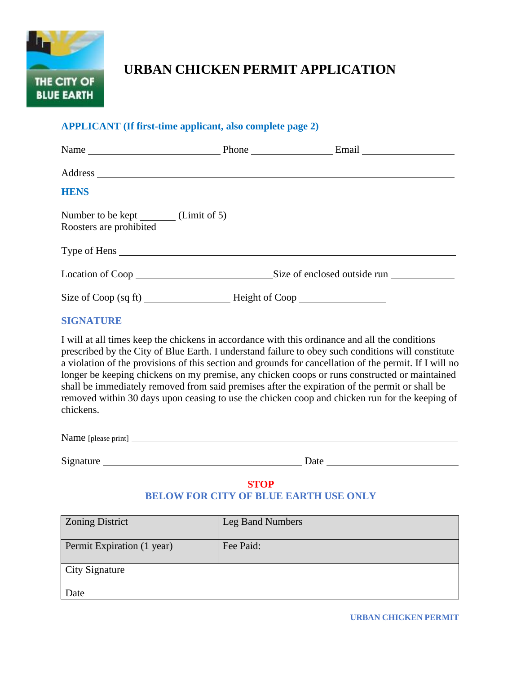

# **URBAN CHICKEN PERMIT APPLICATION**

### **APPLICANT (If first-time applicant, also complete page 2)**

| Name                                                                                          |  | Phone Email Email            |  |
|-----------------------------------------------------------------------------------------------|--|------------------------------|--|
|                                                                                               |  |                              |  |
| <b>HENS</b>                                                                                   |  |                              |  |
| Number to be kept (Limit of 5)<br>Roosters are prohibited                                     |  |                              |  |
| Type of Hens                                                                                  |  |                              |  |
| Location of Coop<br><u>Location</u> of Coop<br><u>Location</u>                                |  | Size of enclosed outside run |  |
|                                                                                               |  |                              |  |
| <b>SIGNATURE</b>                                                                              |  |                              |  |
| I will at all times from the ghighens in ecconomic with this ordinance and all the conditions |  |                              |  |

I will at all times keep the chickens in accordance with this ordinance and all the conditions prescribed by the City of Blue Earth. I understand failure to obey such conditions will constitute a violation of the provisions of this section and grounds for cancellation of the permit. If I will no longer be keeping chickens on my premise, any chicken coops or runs constructed or maintained shall be immediately removed from said premises after the expiration of the permit or shall be removed within 30 days upon ceasing to use the chicken coop and chicken run for the keeping of chickens.

Name [please print]

Signature **Date** Date **Date** Date **Date** Date **Date Date Date Date Date Date Date Date D** 

# **STOP BELOW FOR CITY OF BLUE EARTH USE ONLY**

| <b>Zoning District</b>     | Leg Band Numbers |
|----------------------------|------------------|
| Permit Expiration (1 year) | Fee Paid:        |
| <b>City Signature</b>      |                  |
| Date                       |                  |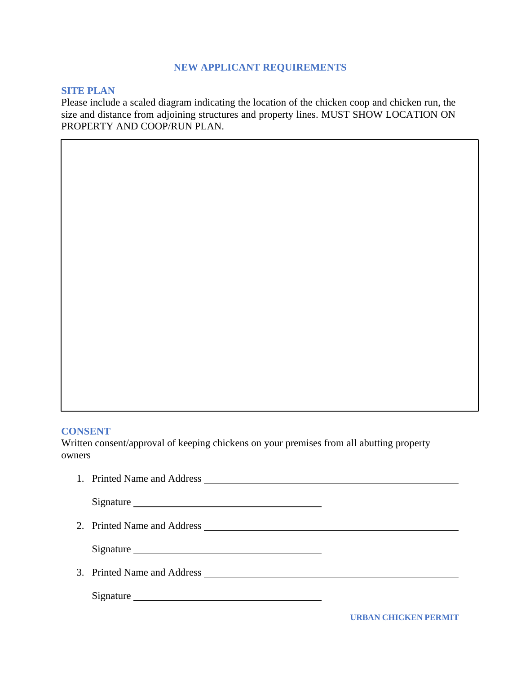## **NEW APPLICANT REQUIREMENTS**

#### **SITE PLAN**

Please include a scaled diagram indicating the location of the chicken coop and chicken run, the size and distance from adjoining structures and property lines. MUST SHOW LOCATION ON PROPERTY AND COOP/RUN PLAN.

#### **CONSENT**

Written consent/approval of keeping chickens on your premises from all abutting property owners

| Signature |                      |
|-----------|----------------------|
|           |                      |
|           |                      |
|           |                      |
| Signature |                      |
|           | URBAN CHICKEN PERMIT |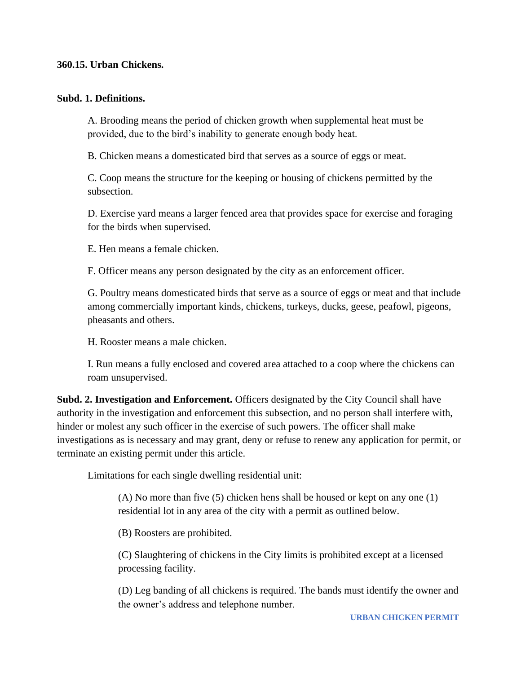#### **360.15. Urban Chickens.**

#### **Subd. 1. Definitions.**

A. Brooding means the period of chicken growth when supplemental heat must be provided, due to the bird's inability to generate enough body heat.

B. Chicken means a domesticated bird that serves as a source of eggs or meat.

C. Coop means the structure for the keeping or housing of chickens permitted by the subsection.

D. Exercise yard means a larger fenced area that provides space for exercise and foraging for the birds when supervised.

E. Hen means a female chicken.

F. Officer means any person designated by the city as an enforcement officer.

G. Poultry means domesticated birds that serve as a source of eggs or meat and that include among commercially important kinds, chickens, turkeys, ducks, geese, peafowl, pigeons, pheasants and others.

H. Rooster means a male chicken.

I. Run means a fully enclosed and covered area attached to a coop where the chickens can roam unsupervised.

**Subd. 2. Investigation and Enforcement.** Officers designated by the City Council shall have authority in the investigation and enforcement this subsection, and no person shall interfere with, hinder or molest any such officer in the exercise of such powers. The officer shall make investigations as is necessary and may grant, deny or refuse to renew any application for permit, or terminate an existing permit under this article.

Limitations for each single dwelling residential unit:

(A) No more than five (5) chicken hens shall be housed or kept on any one (1) residential lot in any area of the city with a permit as outlined below.

(B) Roosters are prohibited.

(C) Slaughtering of chickens in the City limits is prohibited except at a licensed processing facility.

(D) Leg banding of all chickens is required. The bands must identify the owner and the owner's address and telephone number.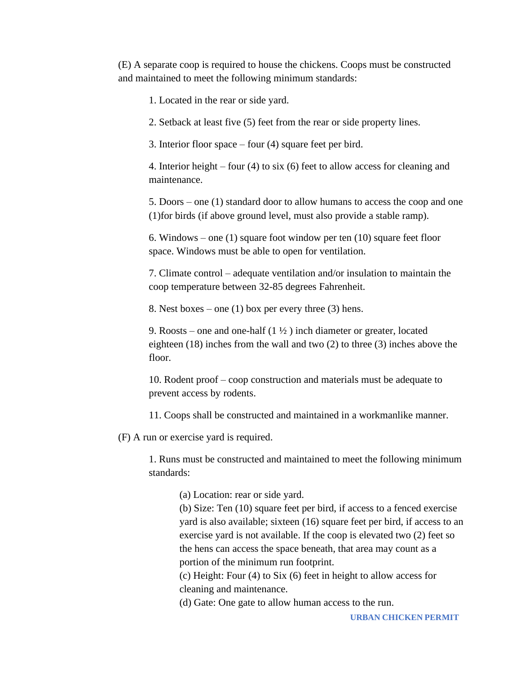(E) A separate coop is required to house the chickens. Coops must be constructed and maintained to meet the following minimum standards:

1. Located in the rear or side yard.

2. Setback at least five (5) feet from the rear or side property lines.

3. Interior floor space – four (4) square feet per bird.

4. Interior height – four (4) to six (6) feet to allow access for cleaning and maintenance.

5. Doors – one (1) standard door to allow humans to access the coop and one (1)for birds (if above ground level, must also provide a stable ramp).

6. Windows – one (1) square foot window per ten (10) square feet floor space. Windows must be able to open for ventilation.

7. Climate control – adequate ventilation and/or insulation to maintain the coop temperature between 32-85 degrees Fahrenheit.

8. Nest boxes – one  $(1)$  box per every three  $(3)$  hens.

9. Roosts – one and one-half  $(1 \frac{1}{2})$  inch diameter or greater, located eighteen (18) inches from the wall and two (2) to three (3) inches above the floor.

10. Rodent proof – coop construction and materials must be adequate to prevent access by rodents.

11. Coops shall be constructed and maintained in a workmanlike manner.

(F) A run or exercise yard is required.

1. Runs must be constructed and maintained to meet the following minimum standards:

(a) Location: rear or side yard.

(b) Size: Ten (10) square feet per bird, if access to a fenced exercise yard is also available; sixteen (16) square feet per bird, if access to an exercise yard is not available. If the coop is elevated two (2) feet so the hens can access the space beneath, that area may count as a portion of the minimum run footprint.

(c) Height: Four (4) to Six (6) feet in height to allow access for cleaning and maintenance.

(d) Gate: One gate to allow human access to the run.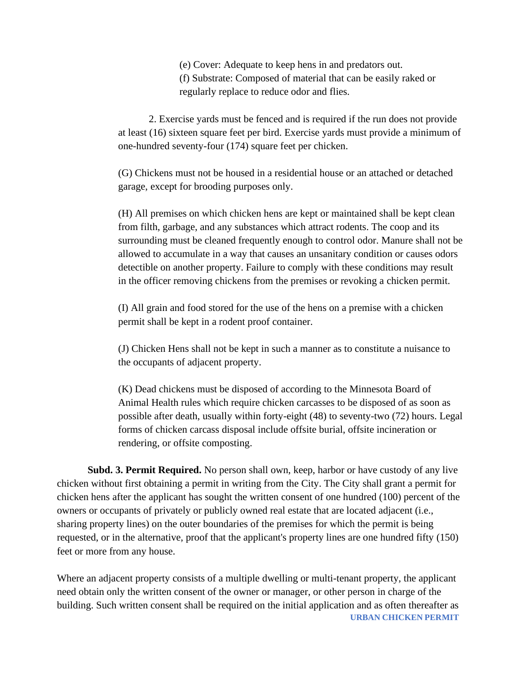(e) Cover: Adequate to keep hens in and predators out. (f) Substrate: Composed of material that can be easily raked or regularly replace to reduce odor and flies.

2. Exercise yards must be fenced and is required if the run does not provide at least (16) sixteen square feet per bird. Exercise yards must provide a minimum of one-hundred seventy-four (174) square feet per chicken.

(G) Chickens must not be housed in a residential house or an attached or detached garage, except for brooding purposes only.

(H) All premises on which chicken hens are kept or maintained shall be kept clean from filth, garbage, and any substances which attract rodents. The coop and its surrounding must be cleaned frequently enough to control odor. Manure shall not be allowed to accumulate in a way that causes an unsanitary condition or causes odors detectible on another property. Failure to comply with these conditions may result in the officer removing chickens from the premises or revoking a chicken permit.

(I) All grain and food stored for the use of the hens on a premise with a chicken permit shall be kept in a rodent proof container.

(J) Chicken Hens shall not be kept in such a manner as to constitute a nuisance to the occupants of adjacent property.

(K) Dead chickens must be disposed of according to the Minnesota Board of Animal Health rules which require chicken carcasses to be disposed of as soon as possible after death, usually within forty-eight (48) to seventy-two (72) hours. Legal forms of chicken carcass disposal include offsite burial, offsite incineration or rendering, or offsite composting.

**Subd. 3. Permit Required.** No person shall own, keep, harbor or have custody of any live chicken without first obtaining a permit in writing from the City. The City shall grant a permit for chicken hens after the applicant has sought the written consent of one hundred (100) percent of the owners or occupants of privately or publicly owned real estate that are located adjacent (i.e., sharing property lines) on the outer boundaries of the premises for which the permit is being requested, or in the alternative, proof that the applicant's property lines are one hundred fifty (150) feet or more from any house.

**URBAN CHICKEN PERMIT** Where an adjacent property consists of a multiple dwelling or multi-tenant property, the applicant need obtain only the written consent of the owner or manager, or other person in charge of the building. Such written consent shall be required on the initial application and as often thereafter as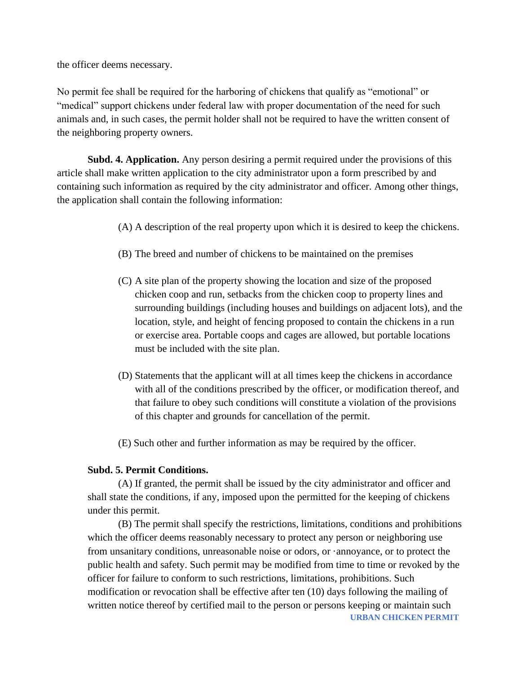the officer deems necessary.

No permit fee shall be required for the harboring of chickens that qualify as "emotional" or "medical" support chickens under federal law with proper documentation of the need for such animals and, in such cases, the permit holder shall not be required to have the written consent of the neighboring property owners.

**Subd. 4. Application.** Any person desiring a permit required under the provisions of this article shall make written application to the city administrator upon a form prescribed by and containing such information as required by the city administrator and officer. Among other things, the application shall contain the following information:

(A) A description of the real property upon which it is desired to keep the chickens.

- (B) The breed and number of chickens to be maintained on the premises
- (C) A site plan of the property showing the location and size of the proposed chicken coop and run, setbacks from the chicken coop to property lines and surrounding buildings (including houses and buildings on adjacent lots), and the location, style, and height of fencing proposed to contain the chickens in a run or exercise area. Portable coops and cages are allowed, but portable locations must be included with the site plan.
- (D) Statements that the applicant will at all times keep the chickens in accordance with all of the conditions prescribed by the officer, or modification thereof, and that failure to obey such conditions will constitute a violation of the provisions of this chapter and grounds for cancellation of the permit.
- (E) Such other and further information as may be required by the officer.

#### **Subd. 5. Permit Conditions.**

(A) If granted, the permit shall be issued by the city administrator and officer and shall state the conditions, if any, imposed upon the permitted for the keeping of chickens under this permit.

**URBAN CHICKEN PERMIT** (B) The permit shall specify the restrictions, limitations, conditions and prohibitions which the officer deems reasonably necessary to protect any person or neighboring use from unsanitary conditions, unreasonable noise or odors, or ·annoyance, or to protect the public health and safety. Such permit may be modified from time to time or revoked by the officer for failure to conform to such restrictions, limitations, prohibitions. Such modification or revocation shall be effective after ten (10) days following the mailing of written notice thereof by certified mail to the person or persons keeping or maintain such